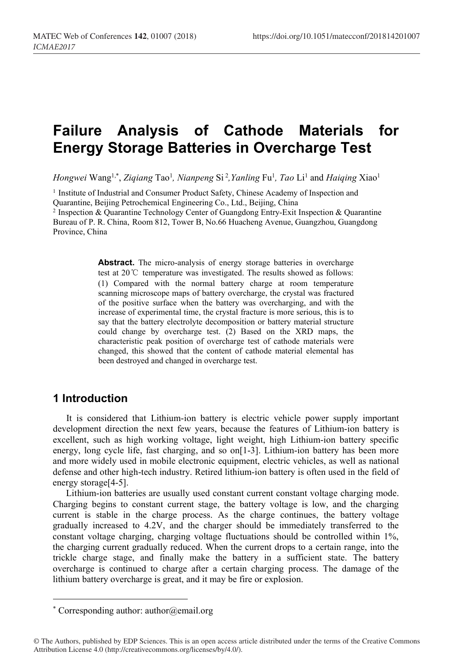# **Failure Analysis of Cathode Materials for Energy Storage Batteries in Overcharge Test**

*Hongwei* Wang1,\* , *Ziqiang* Tao1 *, Nianpeng* Si <sup>2</sup> *,Yanling* Fu1 *, Tao* Li <sup>1</sup> and *Haiqing* Xiao1

<sup>1</sup> Institute of Industrial and Consumer Product Safety, Chinese Academy of Inspection and Quarantine, Beijing Petrochemical Engineering Co., Ltd., Beijing, China

<sup>2</sup> Inspection & Quarantine Technology Center of Guangdong Entry-Exit Inspection & Quarantine Bureau of P. R. China, Room 812, Tower B, No.66 Huacheng Avenue, Guangzhou, Guangdong Province, China

> **Abstract.** The micro-analysis of energy storage batteries in overcharge test at 20℃ temperature was investigated. The results showed as follows: (1) Compared with the normal battery charge at room temperature scanning microscope maps of battery overcharge, the crystal was fractured of the positive surface when the battery was overcharging, and with the increase of experimental time, the crystal fracture is more serious, this is to say that the battery electrolyte decomposition or battery material structure could change by overcharge test. (2) Based on the XRD maps, the characteristic peak position of overcharge test of cathode materials were changed, this showed that the content of cathode material elemental has been destroyed and changed in overcharge test.

## **1 Introduction**

It is considered that Lithium-ion battery is electric vehicle power supply important development direction the next few years, because the features of Lithium-ion battery is excellent, such as high working voltage, light weight, high Lithium-ion battery specific energy, long cycle life, fast charging, and so on[1-3]. Lithium-ion battery has been more and more widely used in mobile electronic equipment, electric vehicles, as well as national defense and other high-tech industry. Retired lithium-ion battery is often used in the field of energy storage[4-5].

Lithium-ion batteries are usually used constant current constant voltage charging mode. Charging begins to constant current stage, the battery voltage is low, and the charging current is stable in the charge process. As the charge continues, the battery voltage gradually increased to 4.2V, and the charger should be immediately transferred to the constant voltage charging, charging voltage fluctuations should be controlled within 1%, the charging current gradually reduced. When the current drops to a certain range, into the trickle charge stage, and finally make the battery in a sufficient state. The battery overcharge is continued to charge after a certain charging process. The damage of the lithium battery overcharge is great, and it may be fire or explosion.

<sup>\*</sup> Corresponding author: author@email.org

<sup>©</sup> The Authors, published by EDP Sciences. This is an open access article distributed under the terms of the Creative Commons Attribution License 4.0 (http://creativecommons.org/licenses/by/4.0/).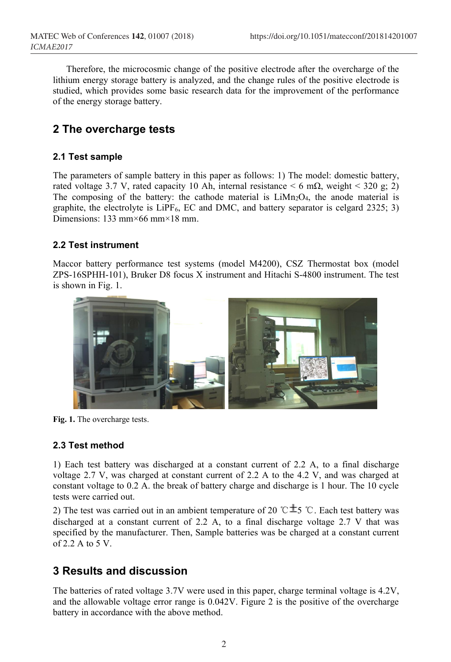Therefore, the microcosmic change of the positive electrode after the overcharge of the lithium energy storage battery is analyzed, and the change rules of the positive electrode is studied, which provides some basic research data for the improvement of the performance of the energy storage battery.

# **2 The overcharge tests**

#### **2.1 Test sample**

The parameters of sample battery in this paper as follows: 1) The model: domestic battery, rated voltage 3.7 V, rated capacity 10 Ah, internal resistance  $\leq 6$  m $\Omega$ , weight  $\leq 320$  g; 2) The composing of the battery: the cathode material is  $LiMn<sub>2</sub>O<sub>4</sub>$ , the anode material is graphite, the electrolyte is  $L$ iPF<sub>6</sub>, EC and DMC, and battery separator is celgard 2325; 3) Dimensions: 133 mm×66 mm×18 mm.

#### **2.2 Test instrument**

Maccor battery performance test systems (model M4200), CSZ Thermostat box (model ZPS-16SPHH-101), Bruker D8 focus X instrument and Hitachi S-4800 instrument. The test is shown in Fig. 1.



**Fig. 1.** The overcharge tests.

#### **2.3 Test method**

1) Each test battery was discharged at a constant current of 2.2 A, to a final discharge voltage 2.7 V, was charged at constant current of 2.2 A to the 4.2 V, and was charged at constant voltage to 0.2 A. the break of battery charge and discharge is 1 hour. The 10 cycle tests were carried out.

2) The test was carried out in an ambient temperature of 20 °C $\pm$ 5 °C. Each test battery was discharged at a constant current of 2.2 A, to a final discharge voltage 2.7 V that was specified by the manufacturer. Then, Sample batteries was be charged at a constant current of  $2.2$  A to  $5$  V.

# **3 Results and discussion**

The batteries of rated voltage 3.7V were used in this paper, charge terminal voltage is 4.2V, and the allowable voltage error range is 0.042V. Figure 2 is the positive of the overcharge battery in accordance with the above method.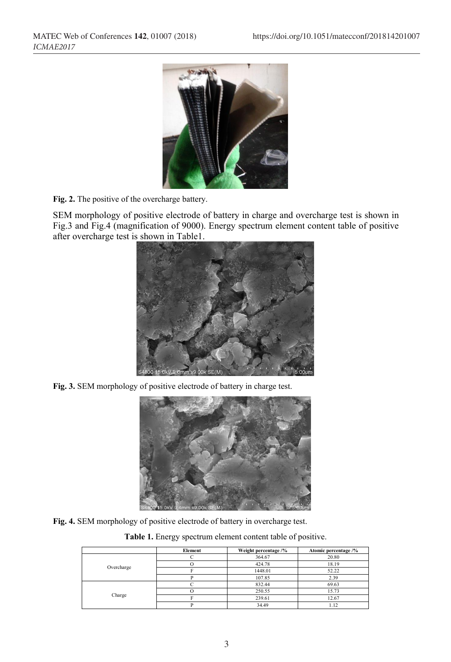

**Fig. 2.** The positive of the overcharge battery.

SEM morphology of positive electrode of battery in charge and overcharge test is shown in Fig.3 and Fig.4 (magnification of 9000). Energy spectrum element content table of positive after overcharge test is shown in Table1.



**Fig. 3.** SEM morphology of positive electrode of battery in charge test.



**Fig. 4.** SEM morphology of positive electrode of battery in overcharge test.

**Table 1.** Energy spectrum element content table of positive.

|            | Element | Weight percentage /% | Atomic percentage /% |
|------------|---------|----------------------|----------------------|
| Overcharge |         | 364.67               | 20.80                |
|            |         | 424.78               | 18.19                |
|            |         | 1448.01              | 52.22                |
|            |         | 107.85               | 2.39                 |
| Charge     |         | 832.44               | 69.63                |
|            |         | 250.55               | 15.73                |
|            |         | 239.61               | 12.67                |
|            |         | 34.49                | .12                  |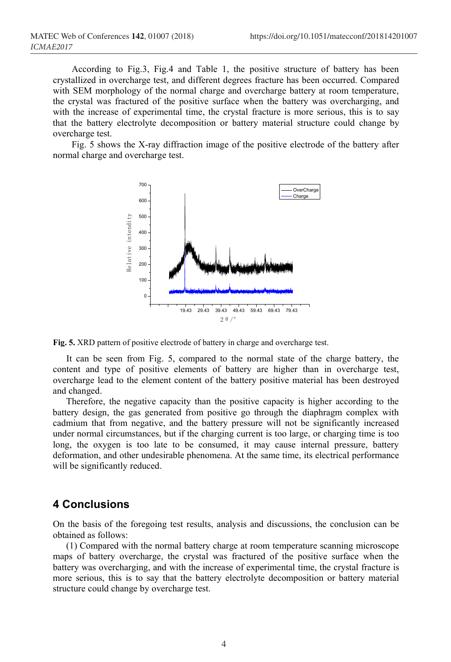According to Fig.3, Fig.4 and Table 1, the positive structure of battery has been crystallized in overcharge test, and different degrees fracture has been occurred. Compared with SEM morphology of the normal charge and overcharge battery at room temperature, the crystal was fractured of the positive surface when the battery was overcharging, and with the increase of experimental time, the crystal fracture is more serious, this is to say that the battery electrolyte decomposition or battery material structure could change by overcharge test.

Fig. 5 shows the X-ray diffraction image of the positive electrode of the battery after normal charge and overcharge test.





It can be seen from Fig. 5, compared to the normal state of the charge battery, the content and type of positive elements of battery are higher than in overcharge test, overcharge lead to the element content of the battery positive material has been destroyed and changed.

Therefore, the negative capacity than the positive capacity is higher according to the battery design, the gas generated from positive go through the diaphragm complex with cadmium that from negative, and the battery pressure will not be significantly increased under normal circumstances, but if the charging current is too large, or charging time is too long, the oxygen is too late to be consumed, it may cause internal pressure, battery deformation, and other undesirable phenomena. At the same time, its electrical performance will be significantly reduced.

### **4 Conclusions**

On the basis of the foregoing test results, analysis and discussions, the conclusion can be obtained as follows:

(1) Compared with the normal battery charge at room temperature scanning microscope maps of battery overcharge, the crystal was fractured of the positive surface when the battery was overcharging, and with the increase of experimental time, the crystal fracture is more serious, this is to say that the battery electrolyte decomposition or battery material structure could change by overcharge test.